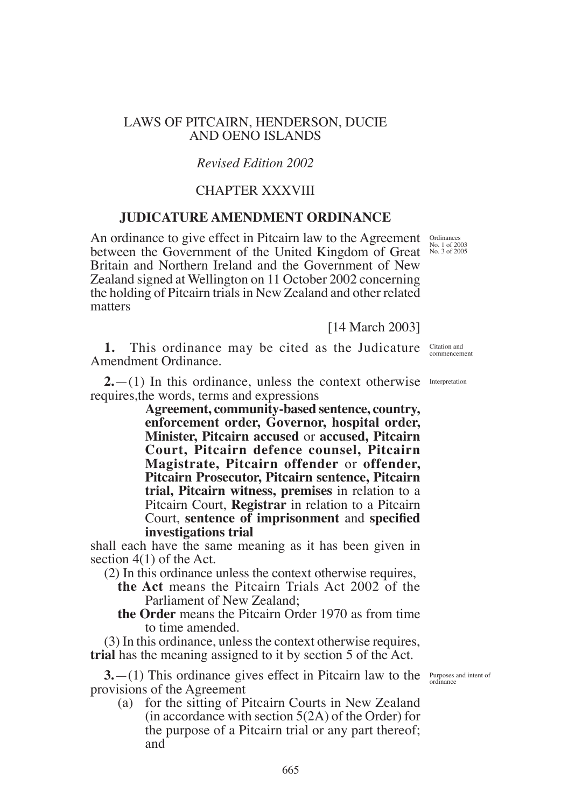### LAWS OF PITCAIRN, HENDERSON, DUCIE AND OENO ISLANDS

# *Revised Edition 2002*

## CHAPTER XXXVIII

## **JUDICATURE AMENDMENT ORDINANCE**

An ordinance to give effect in Pitcairn law to the Agreement between the Government of the United Kingdom of Great Britain and Northern Ireland and the Government of New Zealand signed at Wellington on 11 October 2002 concerning the holding of Pitcairn trials in New Zealand and other related matters

[14 March 2003]

**1.** This ordinance may be cited as the Judicature Citation and Amendment Ordinance.

 $2.$   $-$ (1) In this ordinance, unless the context otherwise Interpretation requires,the words, terms and expressions

> **Agreement, community-based sentence, country, enforcement order, Governor, hospital order, Minister, Pitcairn accused** or **accused, Pitcairn Court, Pitcairn defence counsel, Pitcairn Magistrate, Pitcairn offender** or **offender, Pitcairn Prosecutor, Pitcairn sentence, Pitcairn trial, Pitcairn witness, premises** in relation to a Pitcairn Court, **Registrar** in relation to a Pitcairn Court, **sentence of imprisonment** and **specified investigations trial**

shall each have the same meaning as it has been given in section 4(1) of the Act.

- (2) In this ordinance unless the context otherwise requires,
	- **the Act** means the Pitcairn Trials Act 2002 of the Parliament of New Zealand;
	- **the Order** means the Pitcairn Order 1970 as from time to time amended.

(3) In this ordinance, unless the context otherwise requires, **trial** has the meaning assigned to it by section 5 of the Act.

**3.** - (1) This ordinance gives effect in Pitcairn law to the *Purposes* and intent of provisions of the Agreement

(a) for the sitting of Pitcairn Courts in New Zealand (in accordance with section 5(2A) of the Order) for the purpose of a Pitcairn trial or any part thereof; and

commencement

Ordinances No. 1 of 2003 No. 3 of 2005

ordinance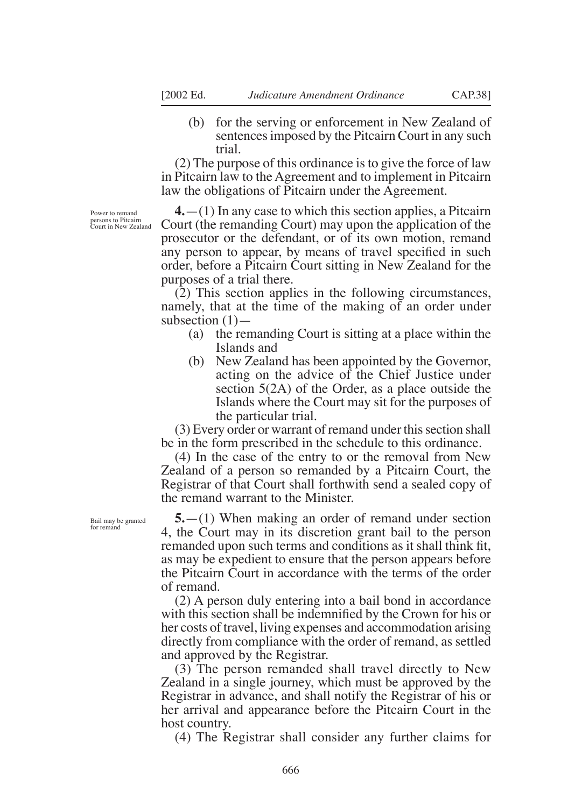(b) for the serving or enforcement in New Zealand of sentences imposed by the Pitcairn Court in any such trial.

(2) The purpose of this ordinance is to give the force of law in Pitcairn law to the Agreement and to implement in Pitcairn law the obligations of Pitcairn under the Agreement.

Power to remand persons to Pitcairn Court in New Zealand

**4.**—(1) In any case to which this section applies, a Pitcairn Court (the remanding Court) may upon the application of the prosecutor or the defendant, or of its own motion, remand any person to appear, by means of travel specified in such order, before a Pitcairn Court sitting in New Zealand for the purposes of a trial there.

(2) This section applies in the following circumstances, namely, that at the time of the making of an order under subsection  $(1)$ —

- (a) the remanding Court is sitting at a place within the Islands and
- (b) New Zealand has been appointed by the Governor, acting on the advice of the Chief Justice under section 5(2A) of the Order, as a place outside the Islands where the Court may sit for the purposes of the particular trial.

(3) Every order or warrant of remand under this section shall be in the form prescribed in the schedule to this ordinance.

(4) In the case of the entry to or the removal from New Zealand of a person so remanded by a Pitcairn Court, the Registrar of that Court shall forthwith send a sealed copy of the remand warrant to the Minister.

**5.**—(1) When making an order of remand under section 4, the Court may in its discretion grant bail to the person remanded upon such terms and conditions as it shall think fit, as may be expedient to ensure that the person appears before the Pitcairn Court in accordance with the terms of the order of remand.

(2) A person duly entering into a bail bond in accordance with this section shall be indemnified by the Crown for his or her costs of travel, living expenses and accommodation arising directly from compliance with the order of remand, as settled and approved by the Registrar.

(3) The person remanded shall travel directly to New Zealand in a single journey, which must be approved by the Registrar in advance, and shall notify the Registrar of his or her arrival and appearance before the Pitcairn Court in the host country.

(4) The Registrar shall consider any further claims for

Bail may be granted for remand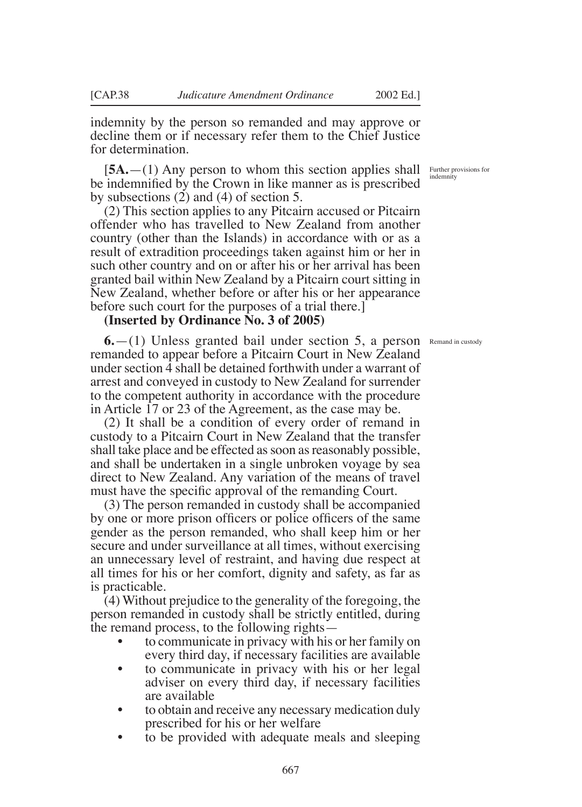indemnity by the person so remanded and may approve or decline them or if necessary refer them to the Chief Justice for determination.

 $[5A - (1)$  Any person to whom this section applies shall Further provisions for be indemnified by the Crown in like manner as is prescribed by subsections (2) and (4) of section 5.

(2) This section applies to any Pitcairn accused or Pitcairn offender who has travelled to New Zealand from another country (other than the Islands) in accordance with or as a result of extradition proceedings taken against him or her in such other country and on or after his or her arrival has been granted bail within New Zealand by a Pitcairn court sitting in New Zealand, whether before or after his or her appearance before such court for the purposes of a trial there.]

### **(Inserted by Ordinance No. 3 of 2005)**

**6.** - (1) Unless granted bail under section 5, a person Remand in custody remanded to appear before a Pitcairn Court in New Zealand under section 4 shall be detained forthwith under a warrant of arrest and conveyed in custody to New Zealand for surrender to the competent authority in accordance with the procedure in Article 17 or 23 of the Agreement, as the case may be.

(2) It shall be a condition of every order of remand in custody to a Pitcairn Court in New Zealand that the transfer shall take place and be effected as soon as reasonably possible, and shall be undertaken in a single unbroken voyage by sea direct to New Zealand. Any variation of the means of travel must have the specific approval of the remanding Court.

(3) The person remanded in custody shall be accompanied by one or more prison officers or police officers of the same gender as the person remanded, who shall keep him or her secure and under surveillance at all times, without exercising an unnecessary level of restraint, and having due respect at all times for his or her comfort, dignity and safety, as far as is practicable.

(4) Without prejudice to the generality of the foregoing, the person remanded in custody shall be strictly entitled, during the remand process, to the following rights—

- to communicate in privacy with his or her family on every third day, if necessary facilities are available
- to communicate in privacy with his or her legal adviser on every third day, if necessary facilities are available<br>to obtain and receive any necessary medication duly
- prescribed for his or her welfare<br>to be provided with adequate meals and sleeping
- 

indemnity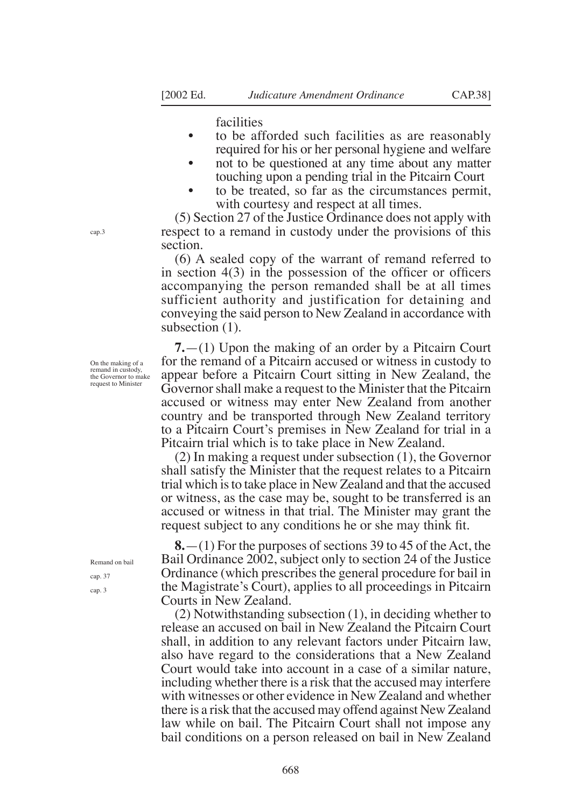facilities

- to be afforded such facilities as are reasonably required for his or her personal hygiene and welfare
- not to be questioned at any time about any matter touching upon a pending trial in the Pitcairn Court
- to be treated, so far as the circumstances permit, with courtesy and respect at all times.

(5) Section 27 of the Justice Ordinance does not apply with respect to a remand in custody under the provisions of this section.

(6) A sealed copy of the warrant of remand referred to in section  $4(3)$  in the possession of the officer or officers accompanying the person remanded shall be at all times sufficient authority and justification for detaining and conveying the said person to New Zealand in accordance with subsection (1).

**7.**—(1) Upon the making of an order by a Pitcairn Court for the remand of a Pitcairn accused or witness in custody to appear before a Pitcairn Court sitting in New Zealand, the Governor shall make a request to the Minister that the Pitcairn accused or witness may enter New Zealand from another country and be transported through New Zealand territory to a Pitcairn Court's premises in New Zealand for trial in a Pitcairn trial which is to take place in New Zealand.

(2) In making a request under subsection (1), the Governor shall satisfy the Minister that the request relates to a Pitcairn trial which is to take place in New Zealand and that the accused or witness, as the case may be, sought to be transferred is an accused or witness in that trial. The Minister may grant the request subject to any conditions he or she may think fit.

**8.**—(1) For the purposes of sections 39 to 45 of the Act, the Bail Ordinance 2002, subject only to section 24 of the Justice Ordinance (which prescribes the general procedure for bail in the Magistrate's Court), applies to all proceedings in Pitcairn Courts in New Zealand.

(2) Notwithstanding subsection (1), in deciding whether to release an accused on bail in New Zealand the Pitcairn Court shall, in addition to any relevant factors under Pitcairn law, also have regard to the considerations that a New Zealand Court would take into account in a case of a similar nature, including whether there is a risk that the accused may interfere with witnesses or other evidence in New Zealand and whether there is a risk that the accused may offend against New Zealand law while on bail. The Pitcairn Court shall not impose any bail conditions on a person released on bail in New Zealand

On the making of a

remand in custody, the Governor to make request to Minister

cap.3

Remand on bail cap. 37 cap. 3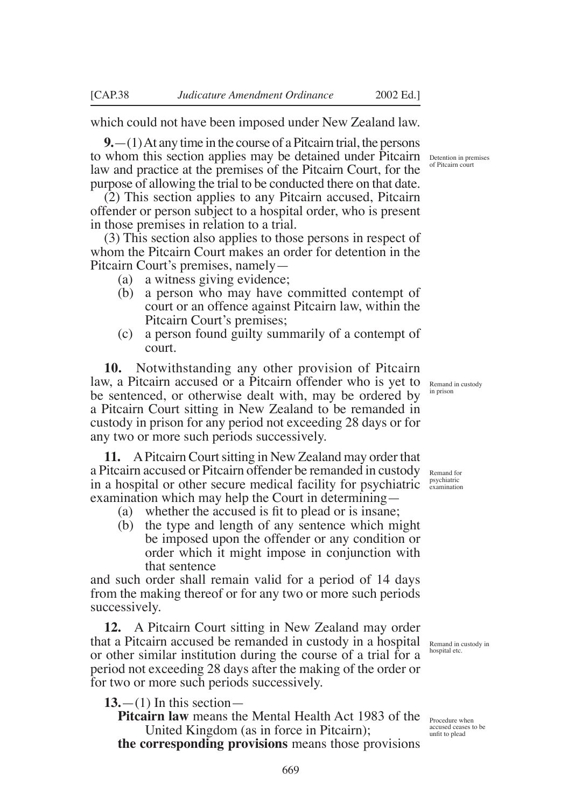which could not have been imposed under New Zealand law.

**9.**—(1) At any time in the course of a Pitcairn trial, the persons to whom this section applies may be detained under Pitcairn Detention in premises law and practice at the premises of the Pitcairn Court, for the purpose of allowing the trial to be conducted there on that date.

(2) This section applies to any Pitcairn accused, Pitcairn offender or person subject to a hospital order, who is present in those premises in relation to a trial.

(3) This section also applies to those persons in respect of whom the Pitcairn Court makes an order for detention in the Pitcairn Court's premises, namely—

- (a) a witness giving evidence;
- (b) a person who may have committed contempt of court or an offence against Pitcairn law, within the Pitcairn Court's premises;
- (c) a person found guilty summarily of a contempt of court.

**10.** Notwithstanding any other provision of Pitcairn law, a Pitcairn accused or a Pitcairn offender who is yet to be sentenced, or otherwise dealt with, may be ordered by a Pitcairn Court sitting in New Zealand to be remanded in custody in prison for any period not exceeding 28 days or for any two or more such periods successively.

**11.** A Pitcairn Court sitting in New Zealand may order that a Pitcairn accused or Pitcairn offender be remanded in custody in a hospital or other secure medical facility for psychiatric <sup>psychiatric</sup> examination which may help the Court in determining—

- (a) whether the accused is fit to plead or is insane;
- (b) the type and length of any sentence which might be imposed upon the offender or any condition or order which it might impose in conjunction with that sentence

and such order shall remain valid for a period of 14 days from the making thereof or for any two or more such periods successively.

**12.** A Pitcairn Court sitting in New Zealand may order that a Pitcairn accused be remanded in custody in a hospital or other similar institution during the course of a trial for a period not exceeding 28 days after the making of the order or for two or more such periods successively.

 $13. - (1)$  In this section-

Pitcairn law means the Mental Health Act 1983 of the **Procedure when** United Kingdom (as in force in Pitcairn);

**the corresponding provisions** means those provisions

of Pitcairn court

Remand in custody in prison

Remand for

Remand in custody in hospital etc.

accused ceases to be unfit to plead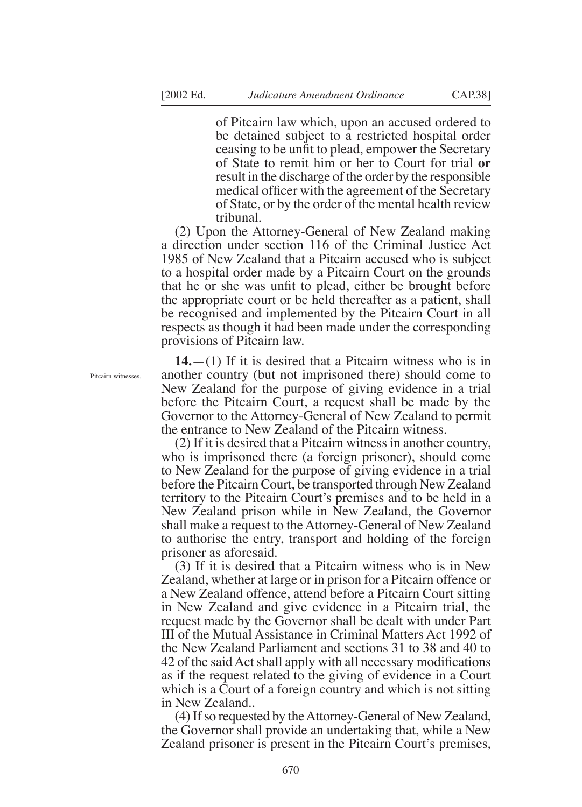of Pitcairn law which, upon an accused ordered to be detained subject to a restricted hospital order ceasing to be unfit to plead, empower the Secretary of State to remit him or her to Court for trial **or** result in the discharge of the order by the responsible medical officer with the agreement of the Secretary of State, or by the order of the mental health review tribunal.

(2) Upon the Attorney-General of New Zealand making a direction under section 116 of the Criminal Justice Act 1985 of New Zealand that a Pitcairn accused who is subject to a hospital order made by a Pitcairn Court on the grounds that he or she was unfit to plead, either be brought before the appropriate court or be held thereafter as a patient, shall be recognised and implemented by the Pitcairn Court in all respects as though it had been made under the corresponding provisions of Pitcairn law.

**14.**—(1) If it is desired that a Pitcairn witness who is in another country (but not imprisoned there) should come to New Zealand for the purpose of giving evidence in a trial before the Pitcairn Court, a request shall be made by the Governor to the Attorney-General of New Zealand to permit the entrance to New Zealand of the Pitcairn witness.

(2) If it is desired that a Pitcairn witness in another country, who is imprisoned there (a foreign prisoner), should come to New Zealand for the purpose of giving evidence in a trial before the Pitcairn Court, be transported through New Zealand territory to the Pitcairn Court's premises and to be held in a New Zealand prison while in New Zealand, the Governor shall make a request to the Attorney-General of New Zealand to authorise the entry, transport and holding of the foreign prisoner as aforesaid.

(3) If it is desired that a Pitcairn witness who is in New Zealand, whether at large or in prison for a Pitcairn offence or a New Zealand offence, attend before a Pitcairn Court sitting in New Zealand and give evidence in a Pitcairn trial, the request made by the Governor shall be dealt with under Part III of the Mutual Assistance in Criminal Matters Act 1992 of the New Zealand Parliament and sections 31 to 38 and 40 to 42 of the said Act shall apply with all necessary modifications as if the request related to the giving of evidence in a Court which is a Court of a foreign country and which is not sitting in New Zealand..

(4) If so requested by the Attorney-General of New Zealand, the Governor shall provide an undertaking that, while a New Zealand prisoner is present in the Pitcairn Court's premises,

Pitcairn witnesses.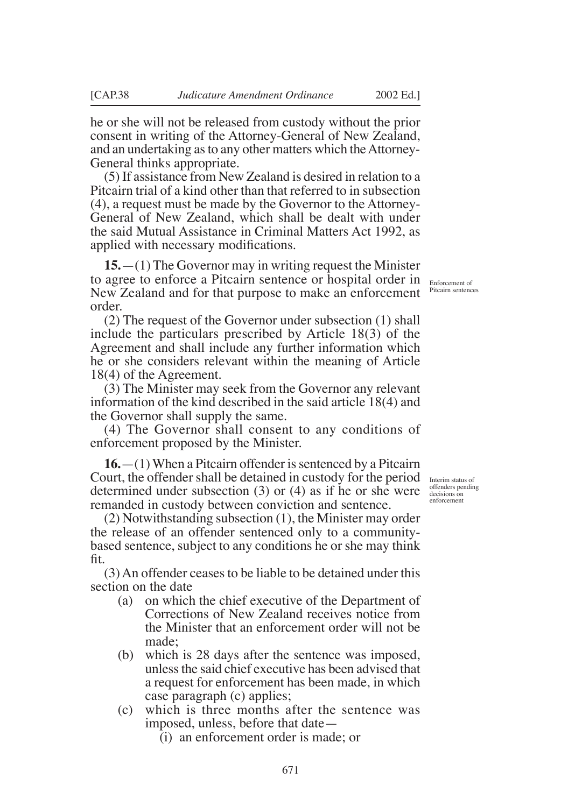he or she will not be released from custody without the prior consent in writing of the Attorney-General of New Zealand, and an undertaking as to any other matters which the Attorney-General thinks appropriate.

(5) If assistance from New Zealand is desired in relation to a Pitcairn trial of a kind other than that referred to in subsection (4), a request must be made by the Governor to the Attorney-General of New Zealand, which shall be dealt with under the said Mutual Assistance in Criminal Matters Act 1992, as applied with necessary modifications.

**15.**—(1) The Governor may in writing request the Minister to agree to enforce a Pitcairn sentence or hospital order in Enforcement of New Zealand and for that purpose to make an enforcement order.

(2) The request of the Governor under subsection (1) shall include the particulars prescribed by Article 18(3) of the Agreement and shall include any further information which he or she considers relevant within the meaning of Article 18(4) of the Agreement.

(3) The Minister may seek from the Governor any relevant information of the kind described in the said article 18(4) and the Governor shall supply the same.

(4) The Governor shall consent to any conditions of enforcement proposed by the Minister.

**16.**—(1) When a Pitcairn offender is sentenced by a Pitcairn Court, the offender shall be detained in custody for the period determined under subsection (3) or (4) as if he or she were remanded in custody between conviction and sentence.

(2) Notwithstanding subsection (1), the Minister may order the release of an offender sentenced only to a communitybased sentence, subject to any conditions he or she may think fit.

(3) An offender ceases to be liable to be detained under this section on the date

- (a) on which the chief executive of the Department of Corrections of New Zealand receives notice from the Minister that an enforcement order will not be made;
- (b) which is 28 days after the sentence was imposed, unless the said chief executive has been advised that a request for enforcement has been made, in which case paragraph (c) applies;
- (c) which is three months after the sentence was imposed, unless, before that date—
	- (i) an enforcement order is made; or

Pitcairn sentences

Interim status of offenders pending decisions on enforcemen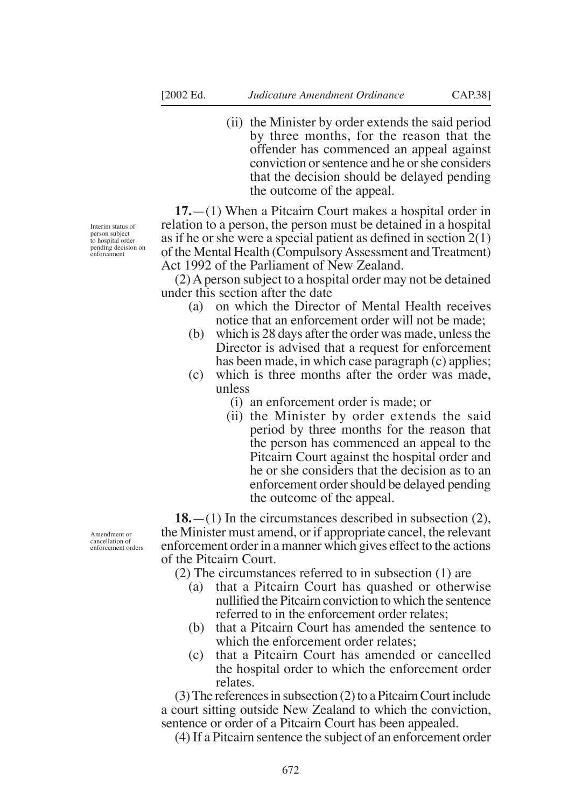(ii) the Minister by order extends the said period by three months, for the reason that the offender has commenced an appeal against conviction or sentence and he or she considers that the decision should be delayed pending the outcome of the appeal.

**17.**—(1) When a Pitcairn Court makes a hospital order in relation to a person, the person must be detained in a hospital as if he or she were a special patient as defined in section 2(1) of the Mental Health (Compulsory Assessment and Treatment) Act 1992 of the Parliament of New Zealand.

(2) A person subject to a hospital order may not be detained under this section after the date

- (a) on which the Director of Mental Health receives notice that an enforcement order will not be made;
- (b) which is 28 days after the order was made, unless the Director is advised that a request for enforcement has been made, in which case paragraph (c) applies;
- (c) which is three months after the order was made, unless
	- (i) an enforcement order is made; or
	- (ii) the Minister by order extends the said period by three months for the reason that the person has commenced an appeal to the Pitcairn Court against the hospital order and he or she considers that the decision as to an enforcement order should be delayed pending the outcome of the appeal.

**18.**—(1) In the circumstances described in subsection (2), the Minister must amend, or if appropriate cancel, the relevant enforcement order in a manner which gives effect to the actions of the Pitcairn Court.

(2) The circumstances referred to in subsection (1) are

- (a) that a Pitcairn Court has quashed or otherwise nullified the Pitcairn conviction to which the sentence referred to in the enforcement order relates;
- (b) that a Pitcairn Court has amended the sentence to which the enforcement order relates:
- (c) that a Pitcairn Court has amended or cancelled the hospital order to which the enforcement order relates.

(3) The references in subsection (2) to a Pitcairn Court include a court sitting outside New Zealand to which the conviction, sentence or order of a Pitcairn Court has been appealed.

(4) If a Pitcairn sentence the subject of an enforcement order

Interim status of person subject to hospital order pending decision on enforcement

Amendment or cancellation of enforcement orders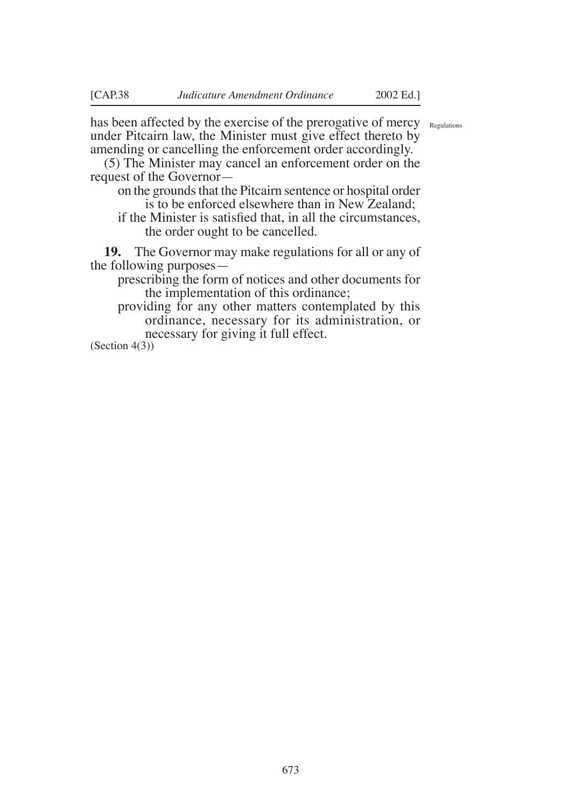has been affected by the exercise of the prerogative of mercy Regulations under Pitcairn law, the Minister must give effect thereto by amending or cancelling the enforcement order accordingly.

(5) The Minister may cancel an enforcement order on the request of the Governor—

on the grounds that the Pitcairn sentence or hospital order is to be enforced elsewhere than in New Zealand;

if the Minister is satisfied that, in all the circumstances, the order ought to be cancelled.

**19.** The Governor may make regulations for all or any of the following purposes—

prescribing the form of notices and other documents for the implementation of this ordinance;

providing for any other matters contemplated by this ordinance, necessary for its administration, or necessary for giving it full effect.

(Section 4(3))

673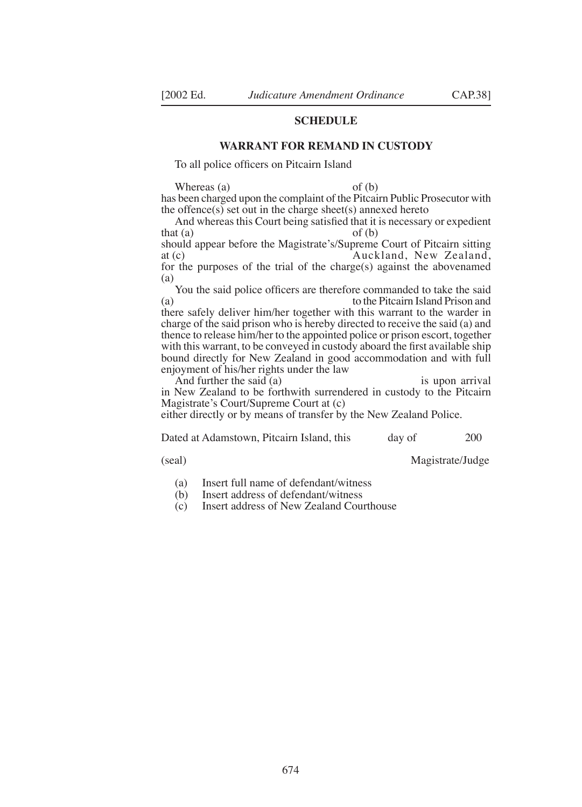#### **SCHEDULE**

#### **WARRANT FOR REMAND IN CUSTODY**

To all police officers on Pitcairn Island

Whereas (a) of (b) has been charged upon the complaint of the Pitcairn Public Prosecutor with the offence $(s)$  set out in the charge sheet $(s)$  annexed hereto

And whereas this Court being satisfied that it is necessary or expedient that  $(a)$  of  $(b)$ 

should appear before the Magistrate's/Supreme Court of Pitcairn sitting at (c) Auckland, New Zealand. Auckland, New Zealand,

for the purposes of the trial of the charge(s) against the abovenamed (a)

You the said police officers are therefore commanded to take the said (a) to the Pitcairn Island Prison and there safely deliver him/her together with this warrant to the warder in charge of the said prison who is hereby directed to receive the said (a) and thence to release him/her to the appointed police or prison escort, together with this warrant, to be conveyed in custody aboard the first available ship bound directly for New Zealand in good accommodation and with full enjoyment of his/her rights under the law

And further the said (a) is upon arrival in New Zealand to be forthwith surrendered in custody to the Pitcairn Magistrate's Court/Supreme Court at (c)

either directly or by means of transfer by the New Zealand Police.

Dated at Adamstown, Pitcairn Island, this day of 200

(seal) Magistrate/Judge

(a) Insert full name of defendant/witness<br>(b) Insert address of defendant/witness

- (b) Insert address of defendant/witness<br>(c) Insert address of New Zealand Cou
- Insert address of New Zealand Courthouse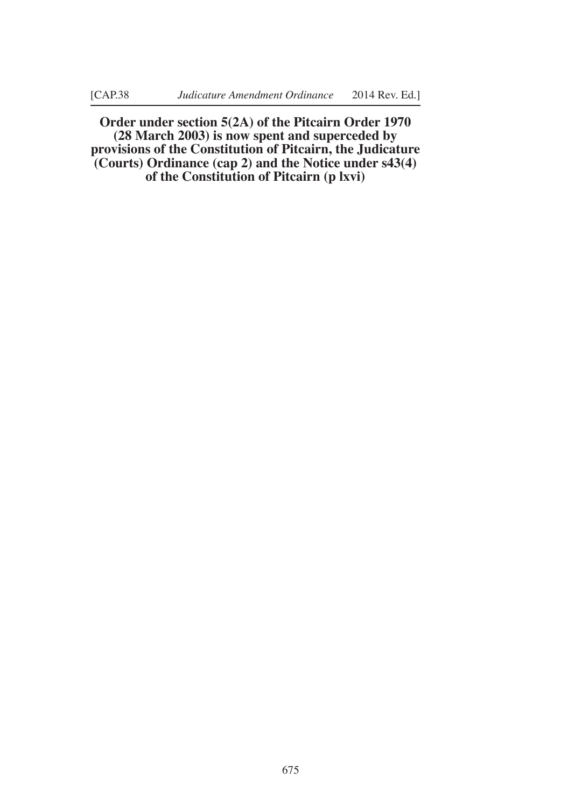**Order under section 5(2A) of the Pitcairn Order 1970 (28 March 2003) is now spent and superceded by provisions of the Constitution of Pitcairn, the Judicature (Courts) Ordinance (cap 2) and the Notice under s43(4) of the Constitution of Pitcairn (p lxvi)**